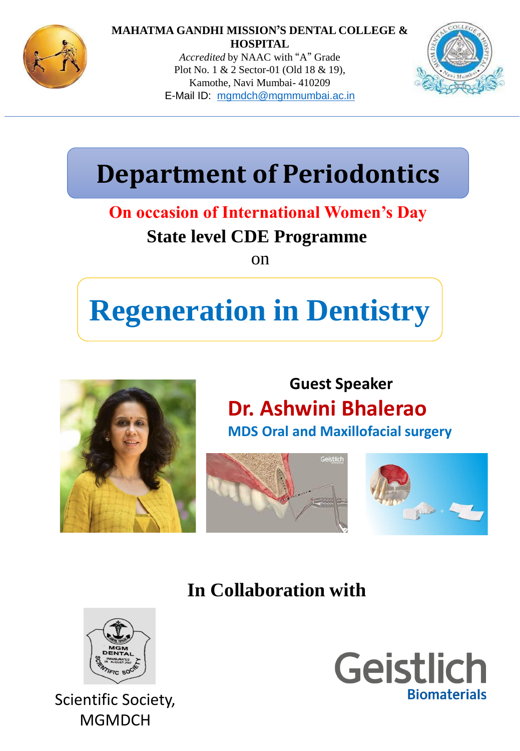

#### **MAHATMA GANDHI MISSION'S DENTAL COLLEGE & HOSPITAL**

*Accredited* by NAAC with "A" Grade Plot No. 1 & 2 Sector-01 (Old 18 & 19), Kamothe, Navi Mumbai- 410209 E-Mail ID: [mgmdch@mgmmumbai.ac.in](mailto:mgmdch@mgmmumbai.ac.in)



## **Department of Periodontics**

### **State level CDE Programme On occasion of International Women's Day**

on

# **Regeneration in Dentistry**



#### **Guest Speaker Dr. Ashwini Bhalerao MDS Oral and Maxillofacial surgery**





**In Collaboration with**



Scientific Society, MGMDCH